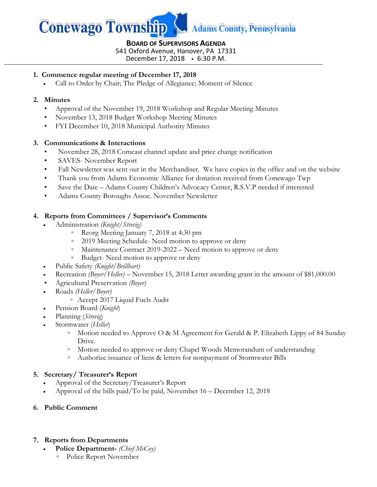

#### **BOARD OF SUPERVISORS AGENDA** 541 Oxford Avenue, Hanover, PA 17331

December 17, 2018 6:30 P.M.

### **1. Commence regular meeting of December 17, 2018**

Call to Order by Chair; The Pledge of Allegiance; Moment of Silence

#### **2. Minutes**

- Approval of the November 19, 2018 Workshop and Regular Meeting Minutes
- November 13, 2018 Budget Workshop Meeting Minutes
- FYI December 10, 2018 Municipal Authority Minutes

#### **3. Communications & Interactions**

- November 28, 2018 Comcast channel update and price change notification
- SAVES- November Report
- Fall Newsletter was sent out in the Merchandiser. We have copies in the office and on the website
- Thank you from Adams Economic Alliance for donation received from Conewago Twp
- Save the Date Adams County Children's Advocacy Center, R.S.V.P needed if interested
- Adams County Boroughs Assoc. November Newsletter

#### **4. Reports from Committees / Supervisor's Comments**

- Administration *(Knight/Strevig)*
	- Reorg Meeting January 7, 2018 at 4:30 pm
	- 2019 Meeting Schedule- Need motion to approve or deny
	- Maintenance Contract 2019-2022 Need motion to approve or deny
	- Budget- Need motion to approve or deny
- Public Safety *(Knight/Brillhart)*
- Recreation *(Boyer/Heller) –* November 15, 2018 Letter awarding grant in the amount of \$81,000.00
- Agricultural Preservation *(Boyer)*
- Roads *(Heller/Boyer)*
	- Accept 2017 Liquid Fuels Audit
- Pension Board (*Knight*)
- Planning (*Strevig*)
- Stormwater (*Heller*)
	- Motion needed to Approve O & M Agreement for Gerald & P. Elizabeth Lippy of 84 Sunday Drive.
	- Motion needed to approve or deny Chapel Woods Memorandum of understanding
	- Authorize issuance of liens & letters for nonpayment of Stormwater Bills

#### **5. Secretary/ Treasurer's Report**

- Approval of the Secretary/Treasurer's Report
- Approval of the bills paid/To be paid, November 16 December 12, 2018
- **6. Public Comment**

#### **7. Reports from Departments**

- **Police Department-** *(Chief McCoy)*
	- Police Report November